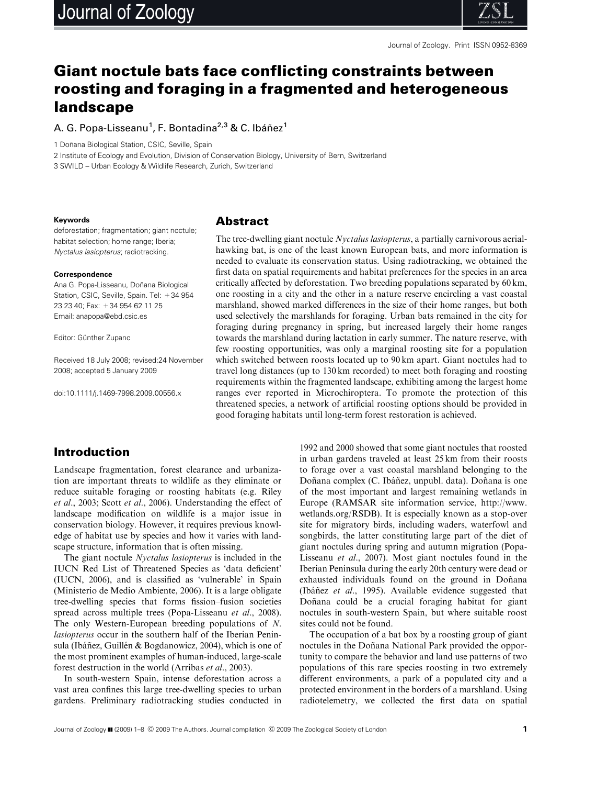

# Giant noctule bats face conflicting constraints between roosting and foraging in a fragmented and heterogeneous landscape

A. G. Popa-Lisseanu<sup>1</sup>, F. Bontadina<sup>2,3</sup> & C. Ibáñez<sup>1</sup>

1 Doñana Biological Station, CSIC, Seville, Spain

2 Institute of Ecology and Evolution, Division of Conservation Biology, University of Bern, Switzerland 3 SWILD – Urban Ecology & Wildlife Research, Zurich, Switzerland

#### **Keywords**

deforestation; fragmentation; giant noctule; habitat selection; home range; Iberia; Nyctalus lasiopterus; radiotracking.

#### **Correspondence**

Ana G. Popa-Lisseanu, Doñana Biological Station, CSIC, Seville, Spain. Tel: +34 954 23 23 40; Fax: +34 954 62 11 25 Email: anapopa@ebd.csic.es

Editor: Günther Zupanc

Received 18 July 2008; revised:24 November 2008; accepted 5 January 2009

doi:10.1111/j.1469-7998.2009.00556.x

### Abstract

The tree-dwelling giant noctule Nyctalus lasiopterus, a partially carnivorous aerialhawking bat, is one of the least known European bats, and more information is needed to evaluate its conservation status. Using radiotracking, we obtained the first data on spatial requirements and habitat preferences for the species in an area critically affected by deforestation. Two breeding populations separated by 60 km, one roosting in a city and the other in a nature reserve encircling a vast coastal marshland, showed marked differences in the size of their home ranges, but both used selectively the marshlands for foraging. Urban bats remained in the city for foraging during pregnancy in spring, but increased largely their home ranges towards the marshland during lactation in early summer. The nature reserve, with few roosting opportunities, was only a marginal roosting site for a population which switched between roosts located up to 90 km apart. Giant noctules had to travel long distances (up to 130 km recorded) to meet both foraging and roosting requirements within the fragmented landscape, exhibiting among the largest home ranges ever reported in Microchiroptera. To promote the protection of this threatened species, a network of artificial roosting options should be provided in good foraging habitats until long-term forest restoration is achieved.

# Introduction

Landscape fragmentation, forest clearance and urbanization are important threats to wildlife as they eliminate or reduce suitable foraging or roosting habitats (e.g. Riley et al., 2003; Scott et al., 2006). Understanding the effect of landscape modification on wildlife is a major issue in conservation biology. However, it requires previous knowledge of habitat use by species and how it varies with landscape structure, information that is often missing.

The giant noctule Nyctalus lasiopterus is included in the IUCN Red List of Threatened Species as 'data deficient' (IUCN, 2006), and is classified as 'vulnerable' in Spain (Ministerio de Medio Ambiente, 2006). It is a large obligate tree-dwelling species that forms fission–fusion societies spread across multiple trees (Popa-Lisseanu et al., 2008). The only Western-European breeding populations of N. lasiopterus occur in the southern half of the Iberian Peninsula (Ibáñez, Guillén & Bogdanowicz, 2004), which is one of the most prominent examples of human-induced, large-scale forest destruction in the world (Arribas et al., 2003).

In south-western Spain, intense deforestation across a vast area confines this large tree-dwelling species to urban gardens. Preliminary radiotracking studies conducted in

1992 and 2000 showed that some giant noctules that roosted in urban gardens traveled at least 25 km from their roosts to forage over a vast coastal marshland belonging to the Doñana complex (C. Ibáñez, unpubl. data). Doñana is one of the most important and largest remaining wetlands in Europe (RAMSAR site information service, http://www. wetlands.org/RSDB). It is especially known as a stop-over site for migratory birds, including waders, waterfowl and songbirds, the latter constituting large part of the diet of giant noctules during spring and autumn migration (Popa-Lisseanu et al., 2007). Most giant noctules found in the Iberian Peninsula during the early 20th century were dead or exhausted individuals found on the ground in Doñana (Ibáñez *et al.*, 1995). Available evidence suggested that Doñana could be a crucial foraging habitat for giant noctules in south-western Spain, but where suitable roost sites could not be found.

The occupation of a bat box by a roosting group of giant noctules in the Doñana National Park provided the opportunity to compare the behavior and land use patterns of two populations of this rare species roosting in two extremely different environments, a park of a populated city and a protected environment in the borders of a marshland. Using radiotelemetry, we collected the first data on spatial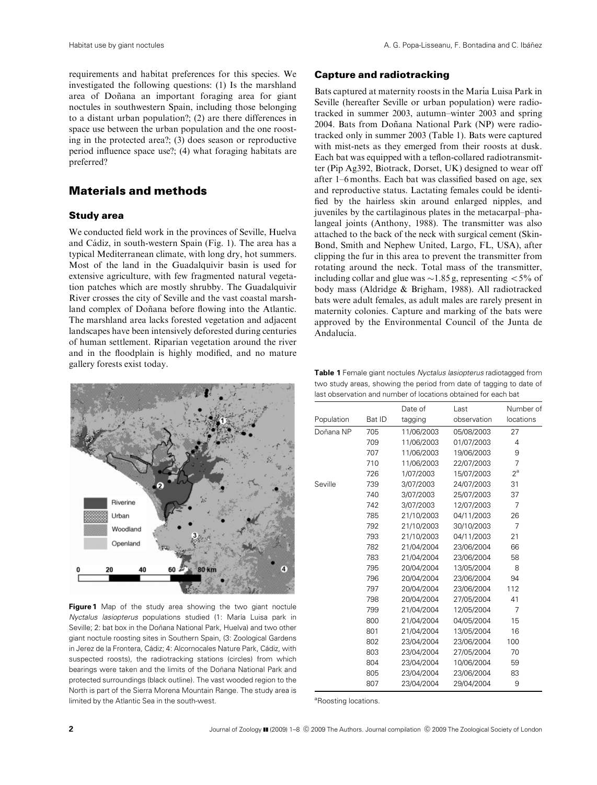requirements and habitat preferences for this species. We investigated the following questions: (1) Is the marshland area of Doñana an important foraging area for giant noctules in southwestern Spain, including those belonging to a distant urban population?; (2) are there differences in space use between the urban population and the one roosting in the protected area?; (3) does season or reproductive period influence space use?; (4) what foraging habitats are preferred?

# Materials and methods

#### Study area

We conducted field work in the provinces of Seville, Huelva and Cádiz, in south-western Spain (Fig. 1). The area has a typical Mediterranean climate, with long dry, hot summers. Most of the land in the Guadalquivir basin is used for extensive agriculture, with few fragmented natural vegetation patches which are mostly shrubby. The Guadalquivir River crosses the city of Seville and the vast coastal marshland complex of Doñana before flowing into the Atlantic. The marshland area lacks forested vegetation and adjacent landscapes have been intensively deforested during centuries of human settlement. Riparian vegetation around the river and in the floodplain is highly modified, and no mature gallery forests exist today.



**Figure 1** Map of the study area showing the two giant noctule Nyctalus lasiopterus populations studied (1: María Luisa park in Seville; 2: bat box in the Doñana National Park, Huelva) and two other giant noctule roosting sites in Southern Spain, (3: Zoological Gardens in Jerez de la Frontera, Cádiz; 4: Alcornocales Nature Park, Cádiz, with suspected roosts), the radiotracking stations (circles) from which bearings were taken and the limits of the Doñana National Park and protected surroundings (black outline). The vast wooded region to the North is part of the Sierra Morena Mountain Range. The study area is limited by the Atlantic Sea in the south-west.

# Capture and radiotracking

Bats captured at maternity roosts in the María Luisa Park in Seville (hereafter Seville or urban population) were radiotracked in summer 2003, autumn–winter 2003 and spring 2004. Bats from Doñana National Park (NP) were radiotracked only in summer 2003 (Table 1). Bats were captured with mist-nets as they emerged from their roosts at dusk. Each bat was equipped with a teflon-collared radiotransmitter (Pip Ag392, Biotrack, Dorset, UK) designed to wear off after 1–6 months. Each bat was classified based on age, sex and reproductive status. Lactating females could be identified by the hairless skin around enlarged nipples, and juveniles by the cartilaginous plates in the metacarpal–phalangeal joints (Anthony, 1988). The transmitter was also attached to the back of the neck with surgical cement (Skin-Bond, Smith and Nephew United, Largo, FL, USA), after clipping the fur in this area to prevent the transmitter from rotating around the neck. Total mass of the transmitter, including collar and glue was  $\sim$ 1.85 g, representing  $\lt$  5% of body mass (Aldridge & Brigham, 1988). All radiotracked bats were adult females, as adult males are rarely present in maternity colonies. Capture and marking of the bats were approved by the Environmental Council of the Junta de Andalucía.

**Table 1** Female giant noctules Nyctalus lasiopterus radiotagged from two study areas, showing the period from date of tagging to date of last observation and number of locations obtained for each bat

|            |        | Date of    | Last        | Number of |
|------------|--------|------------|-------------|-----------|
| Population | Bat ID | tagging    | observation | locations |
| Doñana NP  | 705    | 11/06/2003 | 05/08/2003  | 27        |
|            | 709    | 11/06/2003 | 01/07/2003  | 4         |
|            | 707    | 11/06/2003 | 19/06/2003  | 9         |
|            | 710    | 11/06/2003 | 22/07/2003  | 7         |
|            | 726    | 1/07/2003  | 15/07/2003  | $2^a$     |
| Seville    | 739    | 3/07/2003  | 24/07/2003  | 31        |
|            | 740    | 3/07/2003  | 25/07/2003  | 37        |
|            | 742    | 3/07/2003  | 12/07/2003  | 7         |
|            | 785    | 21/10/2003 | 04/11/2003  | 26        |
|            | 792    | 21/10/2003 | 30/10/2003  | 7         |
|            | 793    | 21/10/2003 | 04/11/2003  | 21        |
|            | 782    | 21/04/2004 | 23/06/2004  | 66        |
|            | 783    | 21/04/2004 | 23/06/2004  | 58        |
|            | 795    | 20/04/2004 | 13/05/2004  | 8         |
|            | 796    | 20/04/2004 | 23/06/2004  | 94        |
|            | 797    | 20/04/2004 | 23/06/2004  | 112       |
|            | 798    | 20/04/2004 | 27/05/2004  | 41        |
|            | 799    | 21/04/2004 | 12/05/2004  | 7         |
|            | 800    | 21/04/2004 | 04/05/2004  | 15        |
|            | 801    | 21/04/2004 | 13/05/2004  | 16        |
|            | 802    | 23/04/2004 | 23/06/2004  | 100       |
|            | 803    | 23/04/2004 | 27/05/2004  | 70        |
|            | 804    | 23/04/2004 | 10/06/2004  | 59        |
|            | 805    | 23/04/2004 | 23/06/2004  | 83        |
|            | 807    | 23/04/2004 | 29/04/2004  | 9         |

<sup>a</sup>Roosting locations.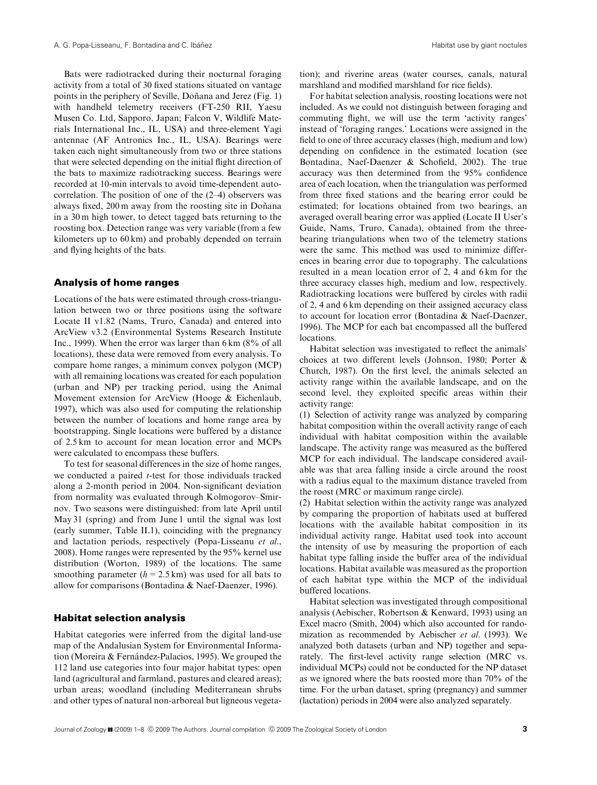Bats were radiotracked during their nocturnal foraging activity from a total of 30 fixed stations situated on vantage points in the periphery of Seville, Doñana and Jerez (Fig. 1) with handheld telemetry receivers (FT-250 RII, Yaesu Musen Co. Ltd, Sapporo, Japan; Falcon V, Wildlife Materials International Inc., IL, USA) and three-element Yagi antennae (AF Antronics Inc., IL, USA). Bearings were taken each night simultaneously from two or three stations that were selected depending on the initial flight direction of the bats to maximize radiotracking success. Bearings were recorded at 10-min intervals to avoid time-dependent autocorrelation. The position of one of the (2–4) observers was always fixed, 200 m away from the roosting site in Doñana in a 30 m high tower, to detect tagged bats returning to the roosting box. Detection range was very variable (from a few kilometers up to 60 km) and probably depended on terrain and flying heights of the bats.

#### Analysis of home ranges

Locations of the bats were estimated through cross-triangulation between two or three positions using the software Locate II v1.82 (Nams, Truro, Canada) and entered into ArcView v3.2 (Environmental Systems Research Institute Inc., 1999). When the error was larger than 6 km (8% of all locations), these data were removed from every analysis. To compare home ranges, a minimum convex polygon (MCP) with all remaining locations was created for each population (urban and NP) per tracking period, using the Animal Movement extension for ArcView (Hooge & Eichenlaub, 1997), which was also used for computing the relationship between the number of locations and home range area by bootstrapping. Single locations were buffered by a distance of 2.5 km to account for mean location error and MCPs were calculated to encompass these buffers.

To test for seasonal differences in the size of home ranges, we conducted a paired t-test for those individuals tracked along a 2-month period in 2004. Non-significant deviation from normality was evaluated through Kolmogorov–Smirnov. Two seasons were distinguished: from late April until May 31 (spring) and from June 1 until the signal was lost (early summer, Table II.1), coinciding with the pregnancy and lactation periods, respectively (Popa-Lisseanu et al., 2008). Home ranges were represented by the 95% kernel use distribution (Worton, 1989) of the locations. The same smoothing parameter  $(h = 2.5 \text{ km})$  was used for all bats to allow for comparisons (Bontadina & Naef-Daenzer, 1996).

### Habitat selection analysis

Habitat categories were inferred from the digital land-use map of the Andalusian System for Environmental Information (Moreira  $&$  Fernández-Palacios, 1995). We grouped the 112 land use categories into four major habitat types: open land (agricultural and farmland, pastures and cleared areas); urban areas; woodland (including Mediterranean shrubs and other types of natural non-arboreal but ligneous vegetation); and riverine areas (water courses, canals, natural marshland and modified marshland for rice fields).

For habitat selection analysis, roosting locations were not included. As we could not distinguish between foraging and commuting flight, we will use the term 'activity ranges' instead of 'foraging ranges.' Locations were assigned in the field to one of three accuracy classes (high, medium and low) depending on confidence in the estimated location (see Bontadina, Naef-Daenzer & Schofield, 2002). The true accuracy was then determined from the 95% confidence area of each location, when the triangulation was performed from three fixed stations and the bearing error could be estimated; for locations obtained from two bearings, an averaged overall bearing error was applied (Locate II User's Guide, Nams, Truro, Canada), obtained from the threebearing triangulations when two of the telemetry stations were the same. This method was used to minimize differences in bearing error due to topography. The calculations resulted in a mean location error of 2, 4 and 6 km for the three accuracy classes high, medium and low, respectively. Radiotracking locations were buffered by circles with radii of 2, 4 and 6 km depending on their assigned accuracy class to account for location error (Bontadina & Naef-Daenzer, 1996). The MCP for each bat encompassed all the buffered locations.

Habitat selection was investigated to reflect the animals' choices at two different levels (Johnson, 1980; Porter & Church, 1987). On the first level, the animals selected an activity range within the available landscape, and on the second level, they exploited specific areas within their activity range:

(1) Selection of activity range was analyzed by comparing habitat composition within the overall activity range of each individual with habitat composition within the available landscape. The activity range was measured as the buffered MCP for each individual. The landscape considered available was that area falling inside a circle around the roost with a radius equal to the maximum distance traveled from the roost (MRC or maximum range circle).

(2) Habitat selection within the activity range was analyzed by comparing the proportion of habitats used at buffered locations with the available habitat composition in its individual activity range. Habitat used took into account the intensity of use by measuring the proportion of each habitat type falling inside the buffer area of the individual locations. Habitat available was measured as the proportion of each habitat type within the MCP of the individual buffered locations.

Habitat selection was investigated through compositional analysis (Aebischer, Robertson & Kenward, 1993) using an Excel macro (Smith, 2004) which also accounted for randomization as recommended by Aebischer et al. (1993). We analyzed both datasets (urban and NP) together and separately. The first-level activity range selection (MRC vs. individual MCPs) could not be conducted for the NP dataset as we ignored where the bats roosted more than 70% of the time. For the urban dataset, spring (pregnancy) and summer (lactation) periods in 2004 were also analyzed separately.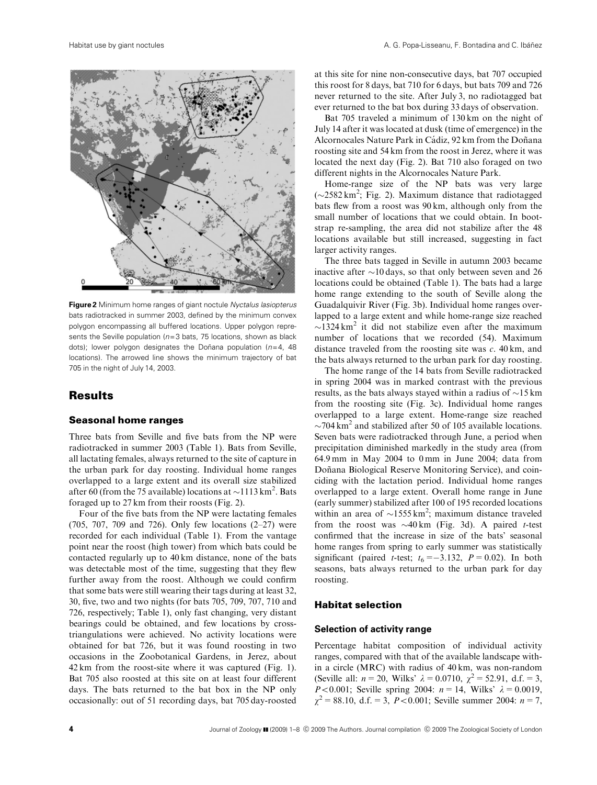

**Figure 2** Minimum home ranges of giant noctule Nyctalus lasiopterus bats radiotracked in summer 2003, defined by the minimum convex polygon encompassing all buffered locations. Upper polygon represents the Seville population ( $n=3$  bats, 75 locations, shown as black dots); lower polygon designates the Doñana population ( $n=4$ , 48 locations). The arrowed line shows the minimum trajectory of bat 705 in the night of July 14, 2003.

# **Results**

#### Seasonal home ranges

Three bats from Seville and five bats from the NP were radiotracked in summer 2003 (Table 1). Bats from Seville, all lactating females, always returned to the site of capture in the urban park for day roosting. Individual home ranges overlapped to a large extent and its overall size stabilized after 60 (from the 75 available) locations at  $\sim$ 1113 km<sup>2</sup>. Bats foraged up to 27 km from their roosts (Fig. 2).

Four of the five bats from the NP were lactating females (705, 707, 709 and 726). Only few locations (2–27) were recorded for each individual (Table 1). From the vantage point near the roost (high tower) from which bats could be contacted regularly up to 40 km distance, none of the bats was detectable most of the time, suggesting that they flew further away from the roost. Although we could confirm that some bats were still wearing their tags during at least 32, 30, five, two and two nights (for bats 705, 709, 707, 710 and 726, respectively; Table 1), only fast changing, very distant bearings could be obtained, and few locations by crosstriangulations were achieved. No activity locations were obtained for bat 726, but it was found roosting in two occasions in the Zoobotanical Gardens, in Jerez, about 42 km from the roost-site where it was captured (Fig. 1). Bat 705 also roosted at this site on at least four different days. The bats returned to the bat box in the NP only occasionally: out of 51 recording days, bat 705 day-roosted

at this site for nine non-consecutive days, bat 707 occupied this roost for 8 days, bat 710 for 6 days, but bats 709 and 726 never returned to the site. After July 3, no radiotagged bat ever returned to the bat box during 33 days of observation.

Bat 705 traveled a minimum of 130 km on the night of July 14 after it was located at dusk (time of emergence) in the Alcornocales Nature Park in Cádiz, 92 km from the Doñana roosting site and 54 km from the roost in Jerez, where it was located the next day (Fig. 2). Bat 710 also foraged on two different nights in the Alcornocales Nature Park.

Home-range size of the NP bats was very large  $(\sim 2582 \text{ km}^2; \text{ Fig. 2})$ . Maximum distance that radiotagged bats flew from a roost was 90 km, although only from the small number of locations that we could obtain. In bootstrap re-sampling, the area did not stabilize after the 48 locations available but still increased, suggesting in fact larger activity ranges.

The three bats tagged in Seville in autumn 2003 became inactive after  $\sim$ 10 days, so that only between seven and 26 locations could be obtained (Table 1). The bats had a large home range extending to the south of Seville along the Guadalquivir River (Fig. 3b). Individual home ranges overlapped to a large extent and while home-range size reached  $\sim$ 1324 km<sup>2</sup> it did not stabilize even after the maximum number of locations that we recorded (54). Maximum distance traveled from the roosting site was  $c$ . 40 km, and the bats always returned to the urban park for day roosting.

The home range of the 14 bats from Seville radiotracked in spring 2004 was in marked contrast with the previous results, as the bats always stayed within a radius of  $\sim$ 15 km from the roosting site (Fig. 3c). Individual home ranges overlapped to a large extent. Home-range size reached  $\sim$ 704 km<sup>2</sup> and stabilized after 50 of 105 available locations. Seven bats were radiotracked through June, a period when precipitation diminished markedly in the study area (from 64.9 mm in May 2004 to 0 mm in June 2004; data from Doñana Biological Reserve Monitoring Service), and coinciding with the lactation period. Individual home ranges overlapped to a large extent. Overall home range in June (early summer) stabilized after 100 of 195 recorded locations within an area of  $\sim$ 1555 km<sup>2</sup>; maximum distance traveled from the roost was  $\sim$ 40 km (Fig. 3d). A paired *t*-test confirmed that the increase in size of the bats' seasonal home ranges from spring to early summer was statistically significant (paired *t*-test;  $t_6 = -3.132$ ,  $P = 0.02$ ). In both seasons, bats always returned to the urban park for day roosting.

#### Habitat selection

#### **Selection of activity range**

Percentage habitat composition of individual activity ranges, compared with that of the available landscape within a circle (MRC) with radius of 40 km, was non-random (Seville all:  $n = 20$ , Wilks'  $\lambda = 0.0710$ ,  $\chi^2 = 52.91$ , d.f. = 3, *P*<0.001; Seville spring 2004:  $n = 14$ , Wilks'  $\lambda = 0.0019$ ,  $\chi^2 = 88.10$ , d.f. = 3, P < 0.001; Seville summer 2004: n = 7,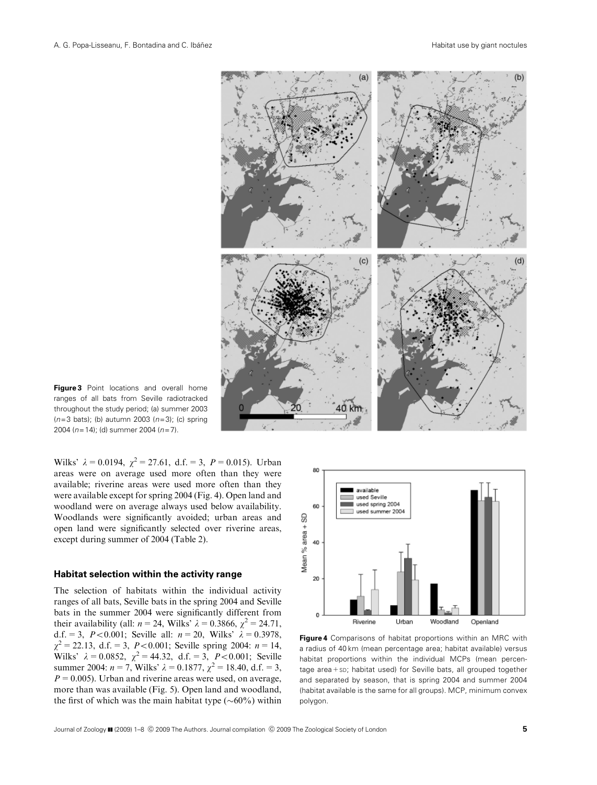

**Figure 3** Point locations and overall home ranges of all bats from Seville radiotracked throughout the study period; (a) summer 2003  $(n=3$  bats); (b) autumn 2003  $(n=3)$ ; (c) spring 2004 ( $n=14$ ); (d) summer 2004 ( $n=7$ ).

Wilks'  $\lambda = 0.0194$ ,  $\chi^2 = 27.61$ , d.f. = 3,  $P = 0.015$ ). Urban areas were on average used more often than they were available; riverine areas were used more often than they were available except for spring 2004 (Fig. 4). Open land and woodland were on average always used below availability. Woodlands were significantly avoided; urban areas and open land were significantly selected over riverine areas, except during summer of 2004 (Table 2).

#### **Habitat selection within the activity range**

The selection of habitats within the individual activity ranges of all bats, Seville bats in the spring 2004 and Seville bats in the summer 2004 were significantly different from their availability (all:  $n = 24$ , Wilks'  $\lambda = 0.3866$ ,  $\chi^2 = 24.71$ , d.f. = 3, P < 0.001; Seville all:  $n = 20$ , Wilks'  $\lambda = 0.3978$ ,  $\chi^2 = 22.13$ , d.f. = 3, P < 0.001; Seville spring 2004: n = 14, Wilks'  $\lambda = 0.0852$ ,  $\chi^2 = 44.32$ , d.f. = 3, P<0.001; Seville summer 2004:  $n = 7$ , Wilks'  $\lambda = 0.1877$ ,  $\chi^2 = 18.40$ , d.f. = 3,  $P = 0.005$ ). Urban and riverine areas were used, on average, more than was available (Fig. 5). Open land and woodland, the first of which was the main habitat type  $(\sim 60\%)$  within



**Figure 4** Comparisons of habitat proportions within an MRC with a radius of 40 km (mean percentage area; habitat available) versus habitat proportions within the individual MCPs (mean percentage area+sp; habitat used) for Seville bats, all grouped together and separated by season, that is spring 2004 and summer 2004 (habitat available is the same for all groups). MCP, minimum convex polygon.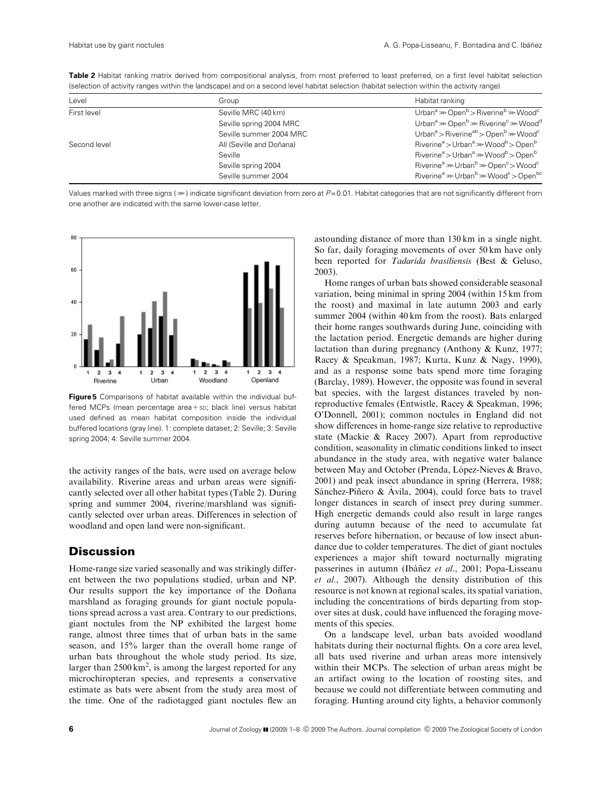| Level        | Group                    | Habitat ranking                                                                            |
|--------------|--------------------------|--------------------------------------------------------------------------------------------|
| First level  | Seville MRC (40 km)      | Urban <sup>a</sup> $\gg$ Open <sup>b</sup> > Riverine <sup>b</sup> $\gg$ Wood <sup>c</sup> |
|              | Seville spring 2004 MRC  | Urban <sup>a</sup> >>> Open <sup>b</sup> >>> Riverine <sup>c</sup> >> Wood <sup>d</sup>    |
|              | Seville summer 2004 MRC  | Urban <sup>a</sup> > Riverine <sup>ab</sup> > Open <sup>b</sup> >> Wood <sup>c</sup>       |
| Second level | All (Seville and Doñana) | $Riverinea > Urbana \gg Woodb > Openb$                                                     |
|              | Seville                  | Riverine <sup>a</sup> > Urban <sup>a</sup> > Wood <sup>b</sup> > Open <sup>b</sup>         |
|              | Seville spring 2004      | Riverine <sup>a</sup> >>> Urban <sup>b</sup> >> Open <sup>c</sup> > Wood <sup>c</sup>      |
|              | Seville summer 2004      | Riverine <sup>a</sup> >>> Urban <sup>b</sup> >>> Wood <sup>c</sup> > Open <sup>bc</sup>    |
|              |                          |                                                                                            |

Table 2 Habitat ranking matrix derived from compositional analysis, from most preferred to least preferred, on a first level habitat selection (selection of activity ranges within the landscape) and on a second level habitat selection (habitat selection within the activity range)

Values marked with three signs ( $\gg$ ) indicate significant deviation from zero at P=0.01. Habitat categories that are not significantly different from one another are indicated with the same lower-case letter.



**Figure 5** Comparisons of habitat available within the individual buffered MCPs (mean percentage area+sD; black line) versus habitat used defined as mean habitat composition inside the individual buffered locations (gray line). 1: complete dataset; 2: Seville; 3: Seville spring 2004; 4: Seville summer 2004.

the activity ranges of the bats, were used on average below availability. Riverine areas and urban areas were significantly selected over all other habitat types (Table 2). During spring and summer 2004, riverine/marshland was significantly selected over urban areas. Differences in selection of woodland and open land were non-significant.

# **Discussion**

Home-range size varied seasonally and was strikingly different between the two populations studied, urban and NP. Our results support the key importance of the Doñana marshland as foraging grounds for giant noctule populations spread across a vast area. Contrary to our predictions, giant noctules from the NP exhibited the largest home range, almost three times that of urban bats in the same season, and 15% larger than the overall home range of urban bats throughout the whole study period. Its size, larger than  $2500 \text{ km}^2$ , is among the largest reported for any microchiropteran species, and represents a conservative estimate as bats were absent from the study area most of the time. One of the radiotagged giant noctules flew an astounding distance of more than 130 km in a single night. So far, daily foraging movements of over 50 km have only been reported for Tadarida brasiliensis (Best & Geluso, 2003).

Home ranges of urban bats showed considerable seasonal variation, being minimal in spring 2004 (within 15 km from the roost) and maximal in late autumn 2003 and early summer 2004 (within 40 km from the roost). Bats enlarged their home ranges southwards during June, coinciding with the lactation period. Energetic demands are higher during lactation than during pregnancy (Anthony & Kunz, 1977; Racey & Speakman, 1987; Kurta, Kunz & Nagy, 1990), and as a response some bats spend more time foraging (Barclay, 1989). However, the opposite was found in several bat species, with the largest distances traveled by nonreproductive females (Entwistle, Racey & Speakman, 1996; O'Donnell, 2001); common noctules in England did not show differences in home-range size relative to reproductive state (Mackie & Racey 2007). Apart from reproductive condition, seasonality in climatic conditions linked to insect abundance in the study area, with negative water balance between May and October (Prenda, López-Nieves & Bravo, 2001) and peak insect abundance in spring (Herrera, 1988; Sánchez-Piñero & Ávila, 2004), could force bats to travel longer distances in search of insect prey during summer. High energetic demands could also result in large ranges during autumn because of the need to accumulate fat reserves before hibernation, or because of low insect abundance due to colder temperatures. The diet of giant noctules experiences a major shift toward nocturnally migrating passerines in autumn (Ibáñez et al., 2001; Popa-Lisseanu et al., 2007). Although the density distribution of this resource is not known at regional scales, its spatial variation, including the concentrations of birds departing from stopover sites at dusk, could have influenced the foraging movements of this species.

On a landscape level, urban bats avoided woodland habitats during their nocturnal flights. On a core area level, all bats used riverine and urban areas more intensively within their MCPs. The selection of urban areas might be an artifact owing to the location of roosting sites, and because we could not differentiate between commuting and foraging. Hunting around city lights, a behavior commonly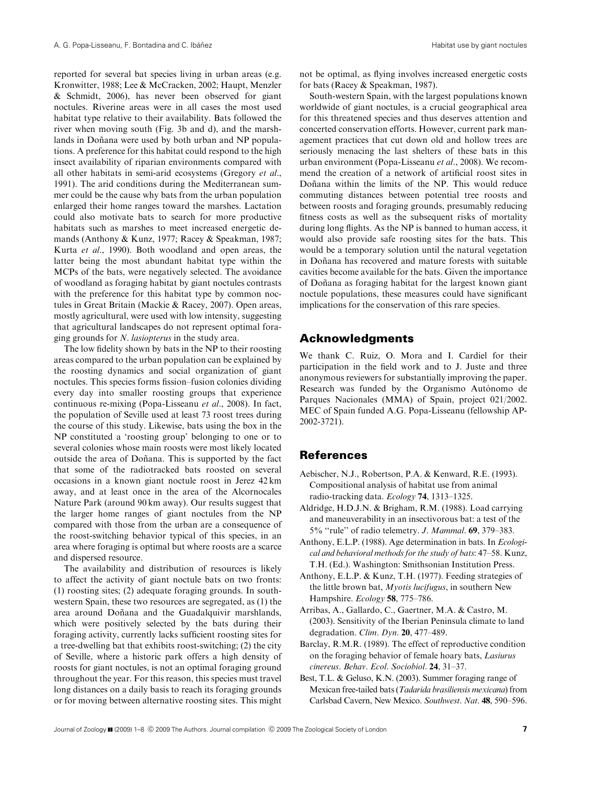reported for several bat species living in urban areas (e.g. Kronwitter, 1988; Lee & McCracken, 2002; Haupt, Menzler & Schmidt, 2006), has never been observed for giant noctules. Riverine areas were in all cases the most used habitat type relative to their availability. Bats followed the river when moving south (Fig. 3b and d), and the marshlands in Doñana were used by both urban and NP populations. A preference for this habitat could respond to the high insect availability of riparian environments compared with all other habitats in semi-arid ecosystems (Gregory et al., 1991). The arid conditions during the Mediterranean summer could be the cause why bats from the urban population enlarged their home ranges toward the marshes. Lactation could also motivate bats to search for more productive habitats such as marshes to meet increased energetic demands (Anthony & Kunz, 1977; Racey & Speakman, 1987; Kurta et al., 1990). Both woodland and open areas, the latter being the most abundant habitat type within the MCPs of the bats, were negatively selected. The avoidance of woodland as foraging habitat by giant noctules contrasts with the preference for this habitat type by common noctules in Great Britain (Mackie & Racey, 2007). Open areas, mostly agricultural, were used with low intensity, suggesting that agricultural landscapes do not represent optimal foraging grounds for N. lasiopterus in the study area.

The low fidelity shown by bats in the NP to their roosting areas compared to the urban population can be explained by the roosting dynamics and social organization of giant noctules. This species forms fission–fusion colonies dividing every day into smaller roosting groups that experience continuous re-mixing (Popa-Lisseanu et al., 2008). In fact, the population of Seville used at least 73 roost trees during the course of this study. Likewise, bats using the box in the NP constituted a 'roosting group' belonging to one or to several colonies whose main roosts were most likely located outside the area of Doñana. This is supported by the fact that some of the radiotracked bats roosted on several occasions in a known giant noctule roost in Jerez 42 km away, and at least once in the area of the Alcornocales Nature Park (around 90 km away). Our results suggest that the larger home ranges of giant noctules from the NP compared with those from the urban are a consequence of the roost-switching behavior typical of this species, in an area where foraging is optimal but where roosts are a scarce and dispersed resource.

The availability and distribution of resources is likely to affect the activity of giant noctule bats on two fronts: (1) roosting sites; (2) adequate foraging grounds. In southwestern Spain, these two resources are segregated, as (1) the area around Doñana and the Guadalquivir marshlands, which were positively selected by the bats during their foraging activity, currently lacks sufficient roosting sites for a tree-dwelling bat that exhibits roost-switching; (2) the city of Seville, where a historic park offers a high density of roosts for giant noctules, is not an optimal foraging ground throughout the year. For this reason, this species must travel long distances on a daily basis to reach its foraging grounds or for moving between alternative roosting sites. This might not be optimal, as flying involves increased energetic costs for bats (Racey & Speakman, 1987).

South-western Spain, with the largest populations known worldwide of giant noctules, is a crucial geographical area for this threatened species and thus deserves attention and concerted conservation efforts. However, current park management practices that cut down old and hollow trees are seriously menacing the last shelters of these bats in this urban environment (Popa-Lisseanu et al., 2008). We recommend the creation of a network of artificial roost sites in Doñana within the limits of the NP. This would reduce commuting distances between potential tree roosts and between roosts and foraging grounds, presumably reducing fitness costs as well as the subsequent risks of mortality during long flights. As the NP is banned to human access, it would also provide safe roosting sites for the bats. This would be a temporary solution until the natural vegetation in Doñana has recovered and mature forests with suitable cavities become available for the bats. Given the importance of Doñana as foraging habitat for the largest known giant noctule populations, these measures could have significant implications for the conservation of this rare species.

# Acknowledgments

We thank C. Ruiz, O. Mora and I. Cardiel for their participation in the field work and to J. Juste and three anonymous reviewers for substantially improving the paper. Research was funded by the Organismo Autónomo de Parques Nacionales (MMA) of Spain, project 021/2002. MEC of Spain funded A.G. Popa-Lisseanu (fellowship AP-2002-3721).

# References

- Aebischer, N.J., Robertson, P.A. & Kenward, R.E. (1993). Compositional analysis of habitat use from animal radio-tracking data. Ecology 74, 1313–1325.
- Aldridge, H.D.J.N. & Brigham, R.M. (1988). Load carrying and maneuverability in an insectivorous bat: a test of the 5% ''rule'' of radio telemetry. J. Mammal. 69, 379–383.
- Anthony, E.L.P. (1988). Age determination in bats. In Ecological and behavioral methods for the study of bats: 47–58. Kunz, T.H. (Ed.). Washington: Smithsonian Institution Press.
- Anthony, E.L.P. & Kunz, T.H. (1977). Feeding strategies of the little brown bat, Myotis lucifugus, in southern New Hampshire. Ecology 58, 775-786.
- Arribas, A., Gallardo, C., Gaertner, M.A. & Castro, M. (2003). Sensitivity of the Iberian Peninsula climate to land degradation. Clim. Dyn. 20, 477-489.
- Barclay, R.M.R. (1989). The effect of reproductive condition on the foraging behavior of female hoary bats, Lasiurus cinereus. Behav. Ecol. Sociobiol. 24, 31–37.
- Best, T.L. & Geluso, K.N. (2003). Summer foraging range of Mexican free-tailed bats (Tadarida brasiliensis mexicana) from Carlsbad Cavern, New Mexico. Southwest. Nat. 48, 590–596.